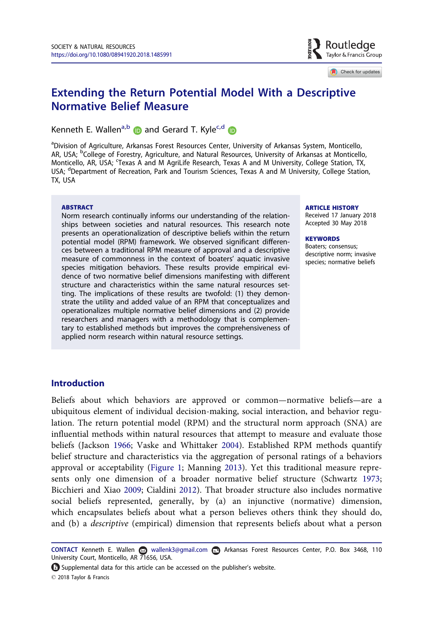

Check for updates

# <span id="page-0-0"></span>Extending the Return Potential Model With a Descriptive Normative Belief Measure

Kenneth E. Wallen<sup>a,b</sup> **D** and Gerard T. Kyle<sup>c,d</sup> **D** 

<sup>a</sup>Division of Agriculture, Arkansas Forest Resources Center, University of Arkansas System, Monticello, AR, USA; <sup>b</sup>College of Forestry, Agriculture, and Natural Resources, University of Arkansas at Monticello, Monticello, AR, USA; 'Texas A and M AgriLife Research, Texas A and M University, College Station, TX, USA; <sup>d</sup>Department of Recreation, Park and Tourism Sciences, Texas A and M University, College Station, TX, USA

#### **ABSTRACT**

Norm research continually informs our understanding of the relationships between societies and natural resources. This research note presents an operationalization of descriptive beliefs within the return potential model (RPM) framework. We observed significant differences between a traditional RPM measure of approval and a descriptive measure of commonness in the context of boaters' aquatic invasive species mitigation behaviors. These results provide empirical evidence of two normative belief dimensions manifesting with different structure and characteristics within the same natural resources setting. The implications of these results are twofold: (1) they demonstrate the utility and added value of an RPM that conceptualizes and operationalizes multiple normative belief dimensions and (2) provide researchers and managers with a methodology that is complementary to established methods but improves the comprehensiveness of applied norm research within natural resource settings.

#### ARTICLE HISTORY

Received 17 January 2018 Accepted 30 May 2018

#### **KEYWORDS**

Boaters; consensus; descriptive norm; invasive species; normative beliefs

# **Introduction**

Beliefs about which behaviors are approved or common—normative beliefs—are a ubiquitous element of individual decision-making, social interaction, and behavior regulation. The return potential model (RPM) and the structural norm approach (SNA) are influential methods within natural resources that attempt to measure and evaluate those beliefs (Jackson [1966;](#page-6-0) Vaske and Whittaker [2004](#page-6-0)). Established RPM methods quantify belief structure and characteristics via the aggregation of personal ratings of a behaviors approval or acceptability ([Figure 1](#page-1-0); Manning [2013\)](#page-6-0). Yet this traditional measure represents only one dimension of a broader normative belief structure (Schwartz [1973](#page-6-0); Bicchieri and Xiao [2009](#page-6-0); Cialdini [2012](#page-6-0)). That broader structure also includes normative social beliefs represented, generally, by (a) an injunctive (normative) dimension, which encapsulates beliefs about what a person believes others think they should do, and (b) a descriptive (empirical) dimension that represents beliefs about what a person

Supplemental data for this article can be accessed on the publisher's website. 2018 Taylor & Francis

CONTACT Kenneth E. Wallen a wallenk3@gmail.com **a** Arkansas Forest Resources Center, P.O. Box 3468, 110 University Court, Monticello, AR 71656, USA.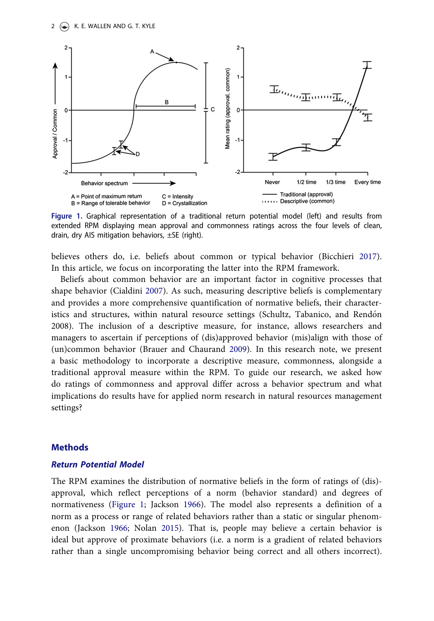<span id="page-1-0"></span>

Figure 1. Graphical representation of a traditional return potential model (left) and results from extended RPM displaying mean approval and commonness ratings across the four levels of clean, drain, dry AIS mitigation behaviors,  $\pm$ SE (right).

believes others do, i.e. beliefs about common or typical behavior (Bicchieri [2017](#page-6-0)). In this article, we focus on incorporating the latter into the RPM framework.

Beliefs about common behavior are an important factor in cognitive processes that shape behavior (Cialdini [2007](#page-6-0)). As such, measuring descriptive beliefs is complementary and provides a more comprehensive quantification of normative beliefs, their characteristics and structures, within natural resource settings (Schultz, Tabanico, and Rendon 2008). The inclusion of a descriptive measure, for instance, allows researchers and managers to ascertain if perceptions of (dis)approved behavior (mis)align with those of (un)common behavior (Brauer and Chaurand [2009](#page-6-0)). In this research note, we present a basic methodology to incorporate a descriptive measure, commonness, alongside a traditional approval measure within the RPM. To guide our research, we asked how do ratings of commonness and approval differ across a behavior spectrum and what implications do results have for applied norm research in natural resources management settings?

# **Methods**

# Return Potential Model

The RPM examines the distribution of normative beliefs in the form of ratings of (dis) approval, which reflect perceptions of a norm (behavior standard) and degrees of normativeness (Figure 1; Jackson [1966](#page-6-0)). The model also represents a definition of a norm as a process or range of related behaviors rather than a static or singular phenomenon (Jackson [1966](#page-6-0); Nolan [2015\)](#page-6-0). That is, people may believe a certain behavior is ideal but approve of proximate behaviors (i.e. a norm is a gradient of related behaviors rather than a single uncompromising behavior being correct and all others incorrect).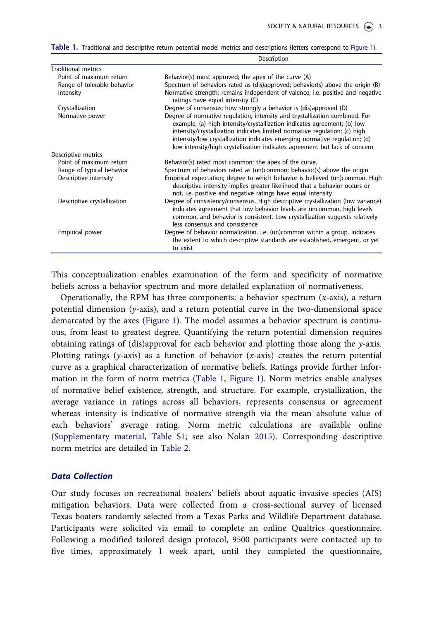|                             | Description                                                                                                                                                                                                                                                                                                                                                                                       |  |
|-----------------------------|---------------------------------------------------------------------------------------------------------------------------------------------------------------------------------------------------------------------------------------------------------------------------------------------------------------------------------------------------------------------------------------------------|--|
| <b>Traditional metrics</b>  |                                                                                                                                                                                                                                                                                                                                                                                                   |  |
| Point of maximum return     | Behavior(s) most approved; the apex of the curve (A)                                                                                                                                                                                                                                                                                                                                              |  |
| Range of tolerable behavior | Spectrum of behaviors rated as (dis)approved; behavior(s) above the origin (B)                                                                                                                                                                                                                                                                                                                    |  |
| Intensity                   | Normative strength; remains independent of valence, i.e. positive and negative<br>ratings have equal intensity (C)                                                                                                                                                                                                                                                                                |  |
| Crystallization             | Degree of consensus; how strongly a behavior is (dis)approved (D)                                                                                                                                                                                                                                                                                                                                 |  |
| Normative power             | Degree of normative regulation; intensity and crystallization combined. For<br>example, (a) high intensity/crystallization indicates agreement; (b) low<br>intensity/crystallization indicates limited normative regulation; (c) high<br>intensity/low crystallization indicates emerging normative regulation; (d)<br>low intensity/high crystallization indicates agreement but lack of concern |  |
| Descriptive metrics         |                                                                                                                                                                                                                                                                                                                                                                                                   |  |
| Point of maximum return     | Behavior(s) rated most common: the apex of the curve.                                                                                                                                                                                                                                                                                                                                             |  |
| Range of typical behavior   | Spectrum of behaviors rated as (un)common; behavior(s) above the origin                                                                                                                                                                                                                                                                                                                           |  |
| Descriptive intensity       | Empirical expectation; degree to which behavior is believed (un)common. High<br>descriptive intensity implies greater likelihood that a behavior occurs or<br>not, i.e. positive and negative ratings have equal intensity                                                                                                                                                                        |  |
| Descriptive crystallization | Degree of consistency/consensus. High descriptive crystallization (low variance)<br>indicates agreement that low behavior levels are uncommon, high levels<br>common, and behavior is consistent. Low crystallization suggests relatively<br>less consensus and consistence                                                                                                                       |  |
| Empirical power             | Degree of behavior normalization, i.e. (un)common within a group. Indicates<br>the extent to which descriptive standards are established, emergent, or yet<br>to exist                                                                                                                                                                                                                            |  |

#### Table 1. Traditional and descriptive return potential model metrics and descriptions (letters correspond to [Figure 1\)](#page-1-0).

This conceptualization enables examination of the form and specificity of normative beliefs across a behavior spectrum and more detailed explanation of normativeness.

Operationally, the RPM has three components: a behavior spectrum  $(x\text{-axis})$ , a return potential dimension  $(y-axis)$ , and a return potential curve in the two-dimensional space demarcated by the axes ([Figure 1\)](#page-1-0). The model assumes a behavior spectrum is continuous, from least to greatest degree. Quantifying the return potential dimension requires obtaining ratings of (dis)approval for each behavior and plotting those along the  $y$ -axis. Plotting ratings (y-axis) as a function of behavior (x-axis) creates the return potential curve as a graphical characterization of normative beliefs. Ratings provide further information in the form of norm metrics (Table 1, [Figure 1\)](#page-1-0). Norm metrics enable analyses of normative belief existence, strength, and structure. For example, crystallization, the average variance in ratings across all behaviors, represents consensus or agreement whereas intensity is indicative of normative strength via the mean absolute value of each behaviors' average rating. Norm metric calculations are available online [\(Supplementary material,](https://doi.org/10.1080/08941920.2018.1485991) Table S1; see also Nolan [2015](#page-6-0)). Corresponding descriptive norm metrics are detailed in [Table 2.](#page-3-0)

#### Data Collection

Our study focuses on recreational boaters' beliefs about aquatic invasive species (AIS) mitigation behaviors. Data were collected from a cross-sectional survey of licensed Texas boaters randomly selected from a Texas Parks and Wildlife Department database. Participants were solicited via email to complete an online Qualtrics questionnaire. Following a modified tailored design protocol, 9500 participants were contacted up to five times, approximately 1 week apart, until they completed the questionnaire,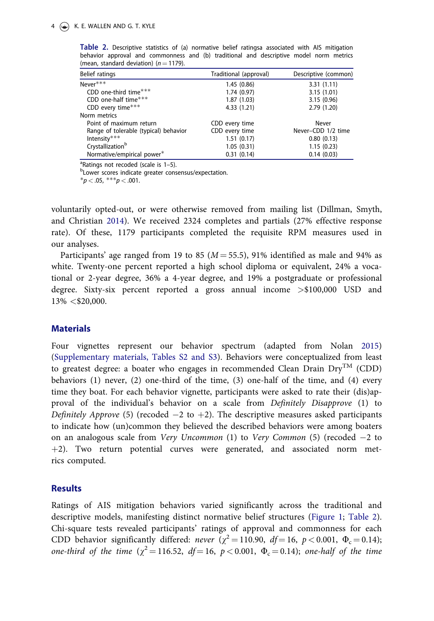| Belief ratings                        | Traditional (approval) | Descriptive (common) |
|---------------------------------------|------------------------|----------------------|
| $Never***$                            | 1.45(0.86)             | 3.31(1.11)           |
| CDD one-third time $***$              | 1.74(0.97)             | 3.15(1.01)           |
| CDD one-half time***                  | 1.87(1.03)             | 3.15(0.96)           |
| CDD every time***                     | 4.33(1.21)             | 2.79(1.20)           |
| Norm metrics                          |                        |                      |
| Point of maximum return               | CDD every time         | Never                |
| Range of tolerable (typical) behavior | CDD every time         | Never-CDD 1/2 time   |
| Intensity***                          | 1.51(0.17)             | 0.80(0.13)           |
| Crystallization <sup>b</sup>          | 1.05(0.31)             | 1.15(0.23)           |
| Normative/empirical power*            | 0.31(0.14)             | 0.14(0.03)           |

<span id="page-3-0"></span>Table 2. Descriptive statistics of (a) normative belief ratingsa associated with AIS mitigation behavior approval and commonness and (b) traditional and descriptive model norm metrics (mean, standard deviation) ( $n = 1179$ ).

 $P<sup>a</sup>$ Ratings not recoded (scale is 1–5).

**bLower scores indicate greater consensus/expectation.** 

 $*_{p < .05,}$   $**_{p < .001.}$ 

voluntarily opted-out, or were otherwise removed from mailing list (Dillman, Smyth, and Christian [2014](#page-6-0)). We received 2324 completes and partials (27% effective response rate). Of these, 1179 participants completed the requisite RPM measures used in our analyses.

Participants' age ranged from 19 to 85 ( $M = 55.5$ ), 91% identified as male and 94% as white. Twenty-one percent reported a high school diploma or equivalent, 24% a vocational or 2-year degree, 36% a 4-year degree, and 19% a postgraduate or professional degree. Sixty-six percent reported a gross annual income >\$100,000 USD and 13% <\$20,000.

# **Materials**

Four vignettes represent our behavior spectrum (adapted from Nolan [2015\)](#page-6-0) [\(Supplementary materials, Tables S2 and S3](https://doi.org/10.1080/08941920.2018.1485991)). Behaviors were conceptualized from least to greatest degree: a boater who engages in recommended Clean Drain  $\text{Dry}^{\text{TM}}$  (CDD) behaviors (1) never, (2) one-third of the time, (3) one-half of the time, and (4) every time they boat. For each behavior vignette, participants were asked to rate their (dis)approval of the individual's behavior on a scale from Definitely Disapprove (1) to *Definitely Approve* (5) (recoded  $-2$  to  $+2$ ). The descriptive measures asked participants to indicate how (un)common they believed the described behaviors were among boaters on an analogous scale from *Very Uncommon* (1) to *Very Common* (5) (recoded  $-2$  to  $+2$ ). Two return potential curves were generated, and associated norm metrics computed.

#### **Results**

Ratings of AIS mitigation behaviors varied significantly across the traditional and descriptive models, manifesting distinct normative belief structures [\(Figure 1;](#page-1-0) Table 2). Chi-square tests revealed participants' ratings of approval and commonness for each CDD behavior significantly differed: never  $(\chi^2 = 110.90, df = 16, p < 0.001, \Phi_c = 0.14)$ ; one-third of the time  $(\chi^2 = 116.52, df = 16, p < 0.001, \Phi_c = 0.14)$ ; one-half of the time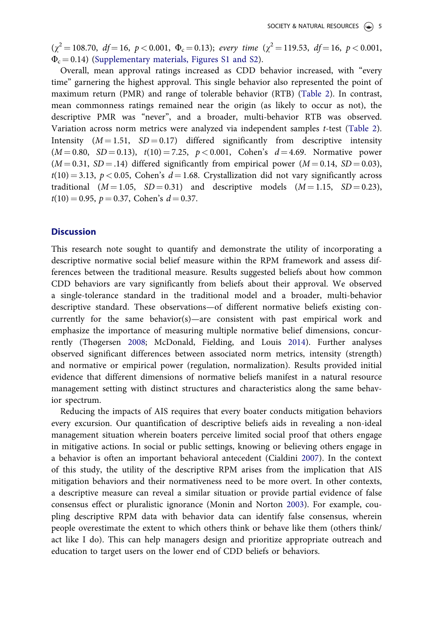<span id="page-4-0"></span> $(\chi^2 = 108.70, df = 16, p < 0.001, \Phi_c = 0.13);$  every time  $(\chi^2 = 119.53, df = 16, p < 0.001,$  $\Phi_c$  = 0.14) [\(Supplementary materials, Figures S1 and S2\)](https://doi.org/10.1080/08941920.2018.1485991).

Overall, mean approval ratings increased as CDD behavior increased, with "every time" garnering the highest approval. This single behavior also represented the point of maximum return (PMR) and range of tolerable behavior (RTB) ([Table 2\)](#page-3-0). In contrast, mean commonness ratings remained near the origin (as likely to occur as not), the descriptive PMR was "never", and a broader, multi-behavior RTB was observed. Variation across norm metrics were analyzed via independent samples t-test ([Table 2](#page-3-0)). Intensity  $(M = 1.51, SD = 0.17)$  differed significantly from descriptive intensity  $(M = 0.80, SD = 0.13), t(10) = 7.25, p < 0.001, Cohen's d = 4.69. Normalize power$  $(M = 0.31, SD = .14)$  differed significantly from empirical power  $(M = 0.14, SD = 0.03)$ ,  $t(10) = 3.13$ ,  $p < 0.05$ , Cohen's  $d = 1.68$ . Crystallization did not vary significantly across traditional  $(M = 1.05, SD = 0.31)$  and descriptive models  $(M = 1.15, SD = 0.23)$ ,  $t(10) = 0.95$ ,  $p = 0.37$ , Cohen's  $d = 0.37$ .

### **Discussion**

This research note sought to quantify and demonstrate the utility of incorporating a descriptive normative social belief measure within the RPM framework and assess differences between the traditional measure. Results suggested beliefs about how common CDD behaviors are vary significantly from beliefs about their approval. We observed a single-tolerance standard in the traditional model and a broader, multi-behavior descriptive standard. These observations—of different normative beliefs existing concurrently for the same behavior(s)—are consistent with past empirical work and emphasize the importance of measuring multiple normative belief dimensions, concurrently (Thøgersen [2008;](#page-6-0) McDonald, Fielding, and Louis [2014\)](#page-6-0). Further analyses observed significant differences between associated norm metrics, intensity (strength) and normative or empirical power (regulation, normalization). Results provided initial evidence that different dimensions of normative beliefs manifest in a natural resource management setting with distinct structures and characteristics along the same behavior spectrum.

Reducing the impacts of AIS requires that every boater conducts mitigation behaviors every excursion. Our quantification of descriptive beliefs aids in revealing a non-ideal management situation wherein boaters perceive limited social proof that others engage in mitigative actions. In social or public settings, knowing or believing others engage in a behavior is often an important behavioral antecedent (Cialdini [2007](#page-6-0)). In the context of this study, the utility of the descriptive RPM arises from the implication that AIS mitigation behaviors and their normativeness need to be more overt. In other contexts, a descriptive measure can reveal a similar situation or provide partial evidence of false consensus effect or pluralistic ignorance (Monin and Norton [2003\)](#page-6-0). For example, coupling descriptive RPM data with behavior data can identify false consensus, wherein people overestimate the extent to which others think or behave like them (others think/ act like I do). This can help managers design and prioritize appropriate outreach and education to target users on the lower end of CDD beliefs or behaviors.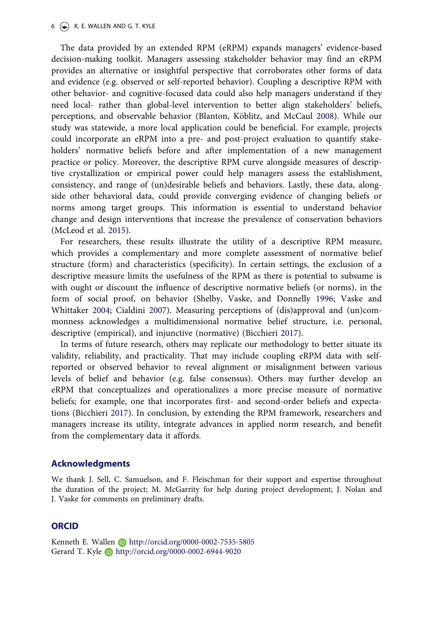<span id="page-5-0"></span>The data provided by an extended RPM (eRPM) expands managers' evidence-based decision-making toolkit. Managers assessing stakeholder behavior may find an eRPM provides an alternative or insightful perspective that corroborates other forms of data and evidence (e.g. observed or self-reported behavior). Coupling a descriptive RPM with other behavior- and cognitive-focused data could also help managers understand if they need local- rather than global-level intervention to better align stakeholders' beliefs, perceptions, and observable behavior (Blanton, Köblitz, and McCaul [2008\)](#page-6-0). While our study was statewide, a more local application could be beneficial. For example, projects could incorporate an eRPM into a pre- and post-project evaluation to quantify stakeholders' normative beliefs before and after implementation of a new management practice or policy. Moreover, the descriptive RPM curve alongside measures of descriptive crystallization or empirical power could help managers assess the establishment, consistency, and range of (un)desirable beliefs and behaviors. Lastly, these data, alongside other behavioral data, could provide converging evidence of changing beliefs or norms among target groups. This information is essential to understand behavior change and design interventions that increase the prevalence of conservation behaviors (McLeod et al. [2015\)](#page-6-0).

For researchers, these results illustrate the utility of a descriptive RPM measure, which provides a complementary and more complete assessment of normative belief structure (form) and characteristics (specificity). In certain settings, the exclusion of a descriptive measure limits the usefulness of the RPM as there is potential to subsume is with ought or discount the influence of descriptive normative beliefs (or norms), in the form of social proof, on behavior (Shelby, Vaske, and Donnelly [1996;](#page-6-0) Vaske and Whittaker [2004;](#page-6-0) Cialdini [2007](#page-6-0)). Measuring perceptions of (dis)approval and (un)commonness acknowledges a multidimensional normative belief structure, i.e. personal, descriptive (empirical), and injunctive (normative) (Bicchieri [2017](#page-6-0)).

In terms of future research, others may replicate our methodology to better situate its validity, reliability, and practicality. That may include coupling eRPM data with selfreported or observed behavior to reveal alignment or misalignment between various levels of belief and behavior (e.g. false consensus). Others may further develop an eRPM that conceptualizes and operationalizes a more precise measure of normative beliefs; for example, one that incorporates first- and second-order beliefs and expectations (Bicchieri [2017\)](#page-6-0). In conclusion, by extending the RPM framework, researchers and managers increase its utility, integrate advances in applied norm research, and benefit from the complementary data it affords.

## Acknowledgments

We thank J. Sell, C. Samuelson, and F. Fleischman for their support and expertise throughout the duration of the project; M. McGarrity for help during project development; J. Nolan and J. Vaske for comments on preliminary drafts.

# **ORCID**

Kenneth E. Wallen **b** http://orcid.org/0000-0002-7535-5805 Gerard T. Kyle **b** http://orcid.org/0000-0002-6944-9020